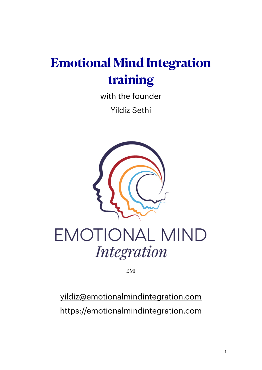## **Emotional Mind Integration training**

with the founder Yildiz Sethi



# EMOTIONAL MIND **Integration**

EMI

[yildiz@emotionalmindintegration.com](mailto:yildiz@emotionalmindintegration.com) https://emotionalmindintegration.com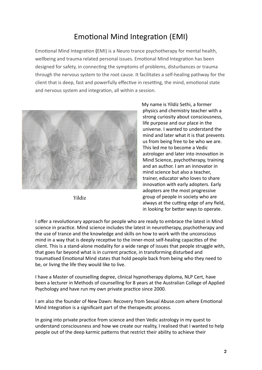### Emotional Mind Integration (EMI)

Emotional Mind Integration (EMI) is a Neuro trance psychotherapy for mental health, wellbeing and trauma related personal issues. Emotional Mind Integration has been designed for safety, in connecting the symptoms of problems, disturbances or trauma through the nervous system to the root cause. It facilitates a self-healing pathway for the client that is deep, fast and powerfully effective in resetting, the mind, emotional state and nervous system and integration, all within a session.



Yildiz

My name is Yildiz Sethi, a former physics and chemistry teacher with a strong curiosity about consciousness, life purpose and our place in the universe. I wanted to understand the mind and later what it is that prevents us from being free to be who we are. This led me to become a Vedic astrologer and later into innovation in Mind Science, psychotherapy, training and an author. I am an innovator in mind science but also a teacher. trainer, educator who loves to share innovation with early adopters. Early adopters are the most progressive group of people in society who are always at the cutting edge of any field, in looking for better ways to operate.

I offer a revolutionary approach for people who are ready to embrace the latest in Mind science in practice. Mind science includes the latest in neurotherapy, psychotherapy and the use of trance and the knowledge and skills on how to work with the unconscious mind in a way that is deeply receptive to the inner-most self-healing capacities of the client. This is a stand-alone modality for a wide range of issues that people struggle with, that goes far beyond what is in current practice, in transforming disturbed and traumatised Emotional Mind states that hold people back from being who they need to be, or living the life they would like to live.

I have a Master of counselling degree, clinical hypnotherapy diploma, NLP Cert, have been a lecturer in Methods of counselling for 8 years at the Australian College of Applied Psychology and have run my own private practice since 2000.

I am also the founder of New Dawn: Recovery from Sexual Abuse.com where Emotional Mind Integration is a significant part of the therapeutic process.

In going into private practice from science and then Vedic astrology in my quest to understand consciousness and how we create our reality, I realised that I wanted to help people out of the deep karmic patterns that restrict their ability to achieve their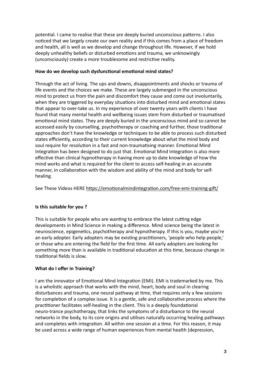potential. I came to realise that these are deeply buried unconscious patterns. I also noticed that we largely create our own reality and if this comes from a place of freedom and health, all is well as we develop and change throughout life. However, if we hold deeply unhealthy beliefs or disturbed emotions and trauma, we unknowingly (unconsciously) create a more troublesome and restrictive reality.

#### How do we develop such dysfunctional emotional mind states?

Through the act of living. The ups and downs, disappointments and shocks or trauma of life events and the choices we make. These are largely submerged in the unconscious mind to protect us from the pain and discomfort they cause and come out involuntarily, when they are triggered by everyday situations into disturbed mind and emotional states that appear to over-take us. In my experience of over twenty years with clients I have found that many mental health and wellbeing issues stem from disturbed or traumatised emotional mind states. They are deeply buried in the unconscious mind and so cannot be accessed easily by counselling, psychotherapy or coaching and further, those traditional approaches don't have the knowledge or techniques to be able to process such disturbed states efficiently, according to their current knowledge about what the mind body and soul require for resolution in a fast and non-traumatising manner. Emotional Mind Integration has been designed to do just that. Emotional Mind Integration is also more effective than clinical hypnotherapy in having more up to date knowledge of how the mind works and what is required for the client to access self-healing in an accurate manner, in collaboration with the wisdom and ability of the mind and body for selfhealing.

See These Videos HERE <https://emotionalmindintegration.com/free-emi-training-gift/>

#### **Is this suitable for you?**

This is suitable for people who are wanting to embrace the latest cutting edge developments in Mind Science in making a difference. Mind science being the latest in neuroscience, epigenetics, psychotherapy and hypnotherapy. If this is you, maybe you're an early adopter. Early adopters may be existing practitioners, 'people who help people,' or those who are entering the field for the first time. All early adopters are looking for something more than is available in traditional education at this time, because change in traditional fields is slow.

#### **What do I offer in Training?**

I am the innovator of Emotional Mind Integration (EMI). EMI is trademarked by me. This is a wholistic approach that works with the mind, heart, body and soul in clearing disturbances and trauma, one neural pathway at time, that requires only a few sessions for completion of a complex issue. It is a gentle, safe and collaborative process where the practitioner facilitates self-healing in the client. This is a deeply foundational neuro-trance psychotherapy, that links the symptoms of a disturbance to the neural networks in the body, to its core origins and utilises naturally occurring healing pathways and completes with integration. All within one session at a time. For this reason, it may be used across a wide range of human experiences from mental health (depression,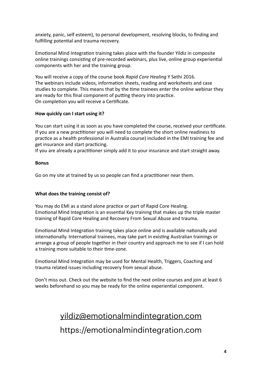anxiety, panic, self esteem), to personal development, resolving blocks, to finding and fulfilling potential and trauma recovery.

Emotional Mind Integration training takes place with the founder Yildiz in composite online trainings consisting of pre-recorded webinars, plus live, online group experiential components with her and the training group.

You will receive a copy of the course book *Rapid Core Healing* Y Sethi 2016. The webinars include videos, information sheets, reading and worksheets and case studies to complete. This means that by the time trainees enter the online webinar they are ready for this final component of putting theory into practice. On completion you will receive a Certificate.

#### **How quickly can I start using it?**

You can start using it as soon as you have completed the course, received your certificate. If you are a new practitioner you will need to complete the short online readiness to practice as a health professional in Australia course) included in the EMI training fee and get insurance and start practicing.

If you are already a practitioner simply add it to your insurance and start straight away.

#### **Bonus**

Go on my site at trained by us so people can find a practitioner near them.

#### **What does the training consist of?**

You may do EMI as a stand alone practice or part of Rapid Core Healing. Emotional Mind Integration is an essential Key training that makes up the triple master training of Rapid Core Healing and Recovery From Sexual Abuse and trauma.

Emotional Mind Integration training takes place online and is available nationally and internationally. International trainees, may take part in existing Australian trainings or arrange a group of people together in their country and approach me to see if I can hold a training more suitable to their time-zone.

Emotional Mind Integration may be used for Mental Health, Triggers, Coaching and trauma related issues including recovery from sexual abuse.

Don't miss out. Check out the website to find the next online courses and join at least 6 weeks beforehand so you may be ready for the online experiential component.

### [yildiz@emotionalmindintegration.com](mailto:yildiz@emotionalmindintegration.com) https://emotionalmindintegration.com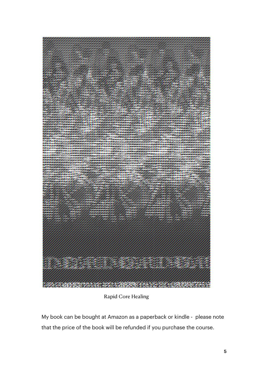

Rapid Core Healing

My book can be bought at Amazon as a paperback or kindle - please note that the price of the book will be refunded if you purchase the course.